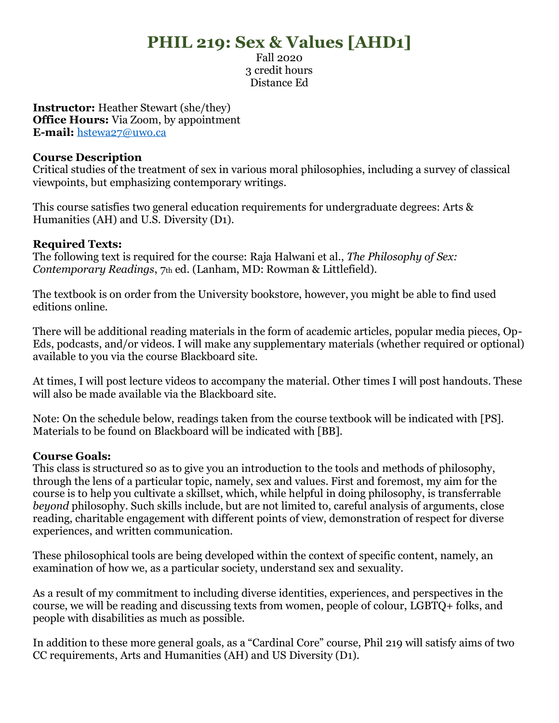# **PHIL 219: Sex & Values [AHD1]**

Fall 2020 3 credit hours Distance Ed

**Instructor:** Heather Stewart (she/they) **Office Hours:** Via Zoom, by appointment **E-mail:** [hstewa27@uwo.ca](mailto:hstewa27@uwo.ca)

#### **Course Description**

Critical studies of the treatment of sex in various moral philosophies, including a survey of classical viewpoints, but emphasizing contemporary writings.

This course satisfies two general education requirements for undergraduate degrees: Arts & Humanities (AH) and U.S. Diversity (D1).

#### **Required Texts:**

The following text is required for the course: Raja Halwani et al., *The Philosophy of Sex: Contemporary Readings*, 7th ed. (Lanham, MD: Rowman & Littlefield).

The textbook is on order from the University bookstore, however, you might be able to find used editions online.

There will be additional reading materials in the form of academic articles, popular media pieces, Op-Eds, podcasts, and/or videos. I will make any supplementary materials (whether required or optional) available to you via the course Blackboard site.

At times, I will post lecture videos to accompany the material. Other times I will post handouts. These will also be made available via the Blackboard site.

Note: On the schedule below, readings taken from the course textbook will be indicated with [PS]. Materials to be found on Blackboard will be indicated with [BB].

#### **Course Goals:**

This class is structured so as to give you an introduction to the tools and methods of philosophy, through the lens of a particular topic, namely, sex and values. First and foremost, my aim for the course is to help you cultivate a skillset, which, while helpful in doing philosophy, is transferrable *beyond* philosophy. Such skills include, but are not limited to, careful analysis of arguments, close reading, charitable engagement with different points of view, demonstration of respect for diverse experiences, and written communication.

These philosophical tools are being developed within the context of specific content, namely, an examination of how we, as a particular society, understand sex and sexuality.

As a result of my commitment to including diverse identities, experiences, and perspectives in the course, we will be reading and discussing texts from women, people of colour, LGBTQ+ folks, and people with disabilities as much as possible.

In addition to these more general goals, as a "Cardinal Core" course, Phil 219 will satisfy aims of two CC requirements, Arts and Humanities (AH) and US Diversity (D1).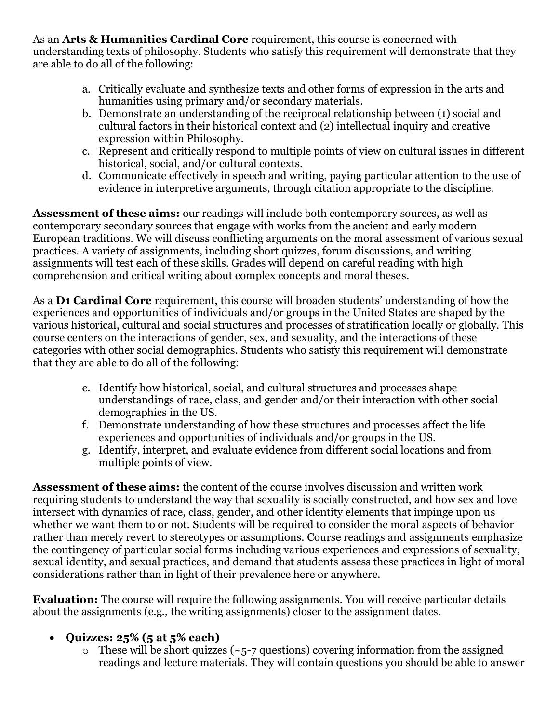As an **Arts & Humanities Cardinal Core** requirement, this course is concerned with understanding texts of philosophy. Students who satisfy this requirement will demonstrate that they are able to do all of the following:

- a. Critically evaluate and synthesize texts and other forms of expression in the arts and humanities using primary and/or secondary materials.
- b. Demonstrate an understanding of the reciprocal relationship between (1) social and cultural factors in their historical context and (2) intellectual inquiry and creative expression within Philosophy.
- c. Represent and critically respond to multiple points of view on cultural issues in different historical, social, and/or cultural contexts.
- d. Communicate effectively in speech and writing, paying particular attention to the use of evidence in interpretive arguments, through citation appropriate to the discipline.

**Assessment of these aims:** our readings will include both contemporary sources, as well as contemporary secondary sources that engage with works from the ancient and early modern European traditions. We will discuss conflicting arguments on the moral assessment of various sexual practices. A variety of assignments, including short quizzes, forum discussions, and writing assignments will test each of these skills. Grades will depend on careful reading with high comprehension and critical writing about complex concepts and moral theses.

As a **D1 Cardinal Core** requirement, this course will broaden students' understanding of how the experiences and opportunities of individuals and/or groups in the United States are shaped by the various historical, cultural and social structures and processes of stratification locally or globally. This course centers on the interactions of gender, sex, and sexuality, and the interactions of these categories with other social demographics. Students who satisfy this requirement will demonstrate that they are able to do all of the following:

- e. Identify how historical, social, and cultural structures and processes shape understandings of race, class, and gender and/or their interaction with other social demographics in the US.
- f. Demonstrate understanding of how these structures and processes affect the life experiences and opportunities of individuals and/or groups in the US.
- g. Identify, interpret, and evaluate evidence from different social locations and from multiple points of view.

**Assessment of these aims:** the content of the course involves discussion and written work requiring students to understand the way that sexuality is socially constructed, and how sex and love intersect with dynamics of race, class, gender, and other identity elements that impinge upon us whether we want them to or not. Students will be required to consider the moral aspects of behavior rather than merely revert to stereotypes or assumptions. Course readings and assignments emphasize the contingency of particular social forms including various experiences and expressions of sexuality, sexual identity, and sexual practices, and demand that students assess these practices in light of moral considerations rather than in light of their prevalence here or anywhere.

**Evaluation:** The course will require the following assignments. You will receive particular details about the assignments (e.g., the writing assignments) closer to the assignment dates.

# • **Quizzes: 25% (5 at 5% each)**

 $\circ$  These will be short quizzes (~5-7 questions) covering information from the assigned readings and lecture materials. They will contain questions you should be able to answer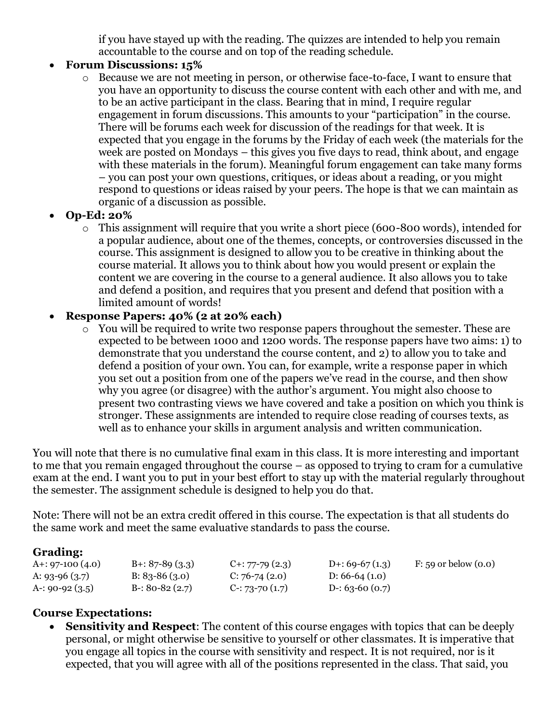if you have stayed up with the reading. The quizzes are intended to help you remain accountable to the course and on top of the reading schedule.

#### • **Forum Discussions: 15%**

o Because we are not meeting in person, or otherwise face-to-face, I want to ensure that you have an opportunity to discuss the course content with each other and with me, and to be an active participant in the class. Bearing that in mind, I require regular engagement in forum discussions. This amounts to your "participation" in the course. There will be forums each week for discussion of the readings for that week. It is expected that you engage in the forums by the Friday of each week (the materials for the week are posted on Mondays – this gives you five days to read, think about, and engage with these materials in the forum). Meaningful forum engagement can take many forms – you can post your own questions, critiques, or ideas about a reading, or you might respond to questions or ideas raised by your peers. The hope is that we can maintain as organic of a discussion as possible.

# • **Op-Ed: 20%**

o This assignment will require that you write a short piece (600-800 words), intended for a popular audience, about one of the themes, concepts, or controversies discussed in the course. This assignment is designed to allow you to be creative in thinking about the course material. It allows you to think about how you would present or explain the content we are covering in the course to a general audience. It also allows you to take and defend a position, and requires that you present and defend that position with a limited amount of words!

## • **Response Papers: 40% (2 at 20% each)**

o You will be required to write two response papers throughout the semester. These are expected to be between 1000 and 1200 words. The response papers have two aims: 1) to demonstrate that you understand the course content, and 2) to allow you to take and defend a position of your own. You can, for example, write a response paper in which you set out a position from one of the papers we've read in the course, and then show why you agree (or disagree) with the author's argument. You might also choose to present two contrasting views we have covered and take a position on which you think is stronger. These assignments are intended to require close reading of courses texts, as well as to enhance your skills in argument analysis and written communication.

You will note that there is no cumulative final exam in this class. It is more interesting and important to me that you remain engaged throughout the course – as opposed to trying to cram for a cumulative exam at the end. I want you to put in your best effort to stay up with the material regularly throughout the semester. The assignment schedule is designed to help you do that.

Note: There will not be an extra credit offered in this course. The expectation is that all students do the same work and meet the same evaluative standards to pass the course.

#### **Grading:**

| A+: 97-100 (4.0) | $B + 87 - 89(3.3)$ | $C_{1}: 77-79(2.3)$  | D+: 69-67 $(1.3)$ | F: 59 or below $(0.0)$ |
|------------------|--------------------|----------------------|-------------------|------------------------|
| A: 93-96 (3.7)   | $B: 83-86(3.0)$    | $C: 76-74(2.0)$      | D: $66-64(1.0)$   |                        |
| A-: 90-92 (3.5)  | $B-30-82(2.7)$     | $C-$ : 73-70 $(1.7)$ | D-: 63-60 $(0.7)$ |                        |

#### **Course Expectations:**

• **Sensitivity and Respect**: The content of this course engages with topics that can be deeply personal, or might otherwise be sensitive to yourself or other classmates. It is imperative that you engage all topics in the course with sensitivity and respect. It is not required, nor is it expected, that you will agree with all of the positions represented in the class. That said, you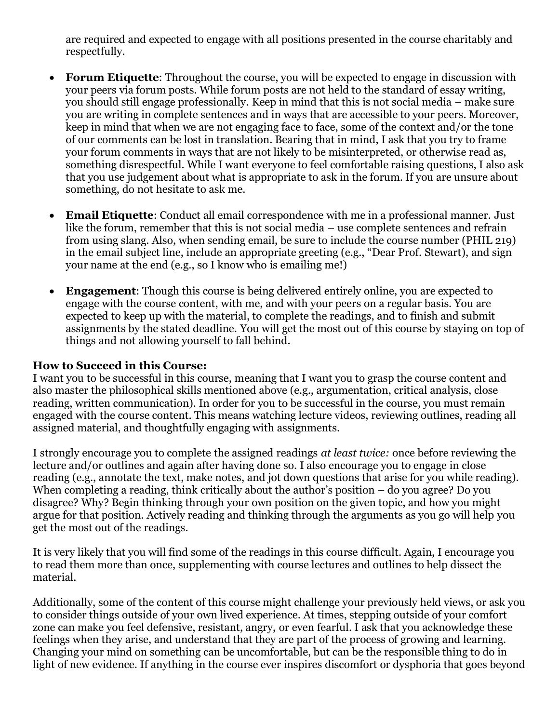are required and expected to engage with all positions presented in the course charitably and respectfully.

- **Forum Etiquette**: Throughout the course, you will be expected to engage in discussion with your peers via forum posts. While forum posts are not held to the standard of essay writing, you should still engage professionally. Keep in mind that this is not social media – make sure you are writing in complete sentences and in ways that are accessible to your peers. Moreover, keep in mind that when we are not engaging face to face, some of the context and/or the tone of our comments can be lost in translation. Bearing that in mind, I ask that you try to frame your forum comments in ways that are not likely to be misinterpreted, or otherwise read as, something disrespectful. While I want everyone to feel comfortable raising questions, I also ask that you use judgement about what is appropriate to ask in the forum. If you are unsure about something, do not hesitate to ask me.
- **Email Etiquette**: Conduct all email correspondence with me in a professional manner. Just like the forum, remember that this is not social media – use complete sentences and refrain from using slang. Also, when sending email, be sure to include the course number (PHIL 219) in the email subject line, include an appropriate greeting (e.g., "Dear Prof. Stewart), and sign your name at the end (e.g., so I know who is emailing me!)
- **Engagement**: Though this course is being delivered entirely online, you are expected to engage with the course content, with me, and with your peers on a regular basis. You are expected to keep up with the material, to complete the readings, and to finish and submit assignments by the stated deadline. You will get the most out of this course by staying on top of things and not allowing yourself to fall behind.

#### **How to Succeed in this Course:**

I want you to be successful in this course, meaning that I want you to grasp the course content and also master the philosophical skills mentioned above (e.g., argumentation, critical analysis, close reading, written communication). In order for you to be successful in the course, you must remain engaged with the course content. This means watching lecture videos, reviewing outlines, reading all assigned material, and thoughtfully engaging with assignments.

I strongly encourage you to complete the assigned readings *at least twice:* once before reviewing the lecture and/or outlines and again after having done so. I also encourage you to engage in close reading (e.g., annotate the text, make notes, and jot down questions that arise for you while reading). When completing a reading, think critically about the author's position – do you agree? Do you disagree? Why? Begin thinking through your own position on the given topic, and how you might argue for that position. Actively reading and thinking through the arguments as you go will help you get the most out of the readings.

It is very likely that you will find some of the readings in this course difficult. Again, I encourage you to read them more than once, supplementing with course lectures and outlines to help dissect the material.

Additionally, some of the content of this course might challenge your previously held views, or ask you to consider things outside of your own lived experience. At times, stepping outside of your comfort zone can make you feel defensive, resistant, angry, or even fearful. I ask that you acknowledge these feelings when they arise, and understand that they are part of the process of growing and learning. Changing your mind on something can be uncomfortable, but can be the responsible thing to do in light of new evidence. If anything in the course ever inspires discomfort or dysphoria that goes beyond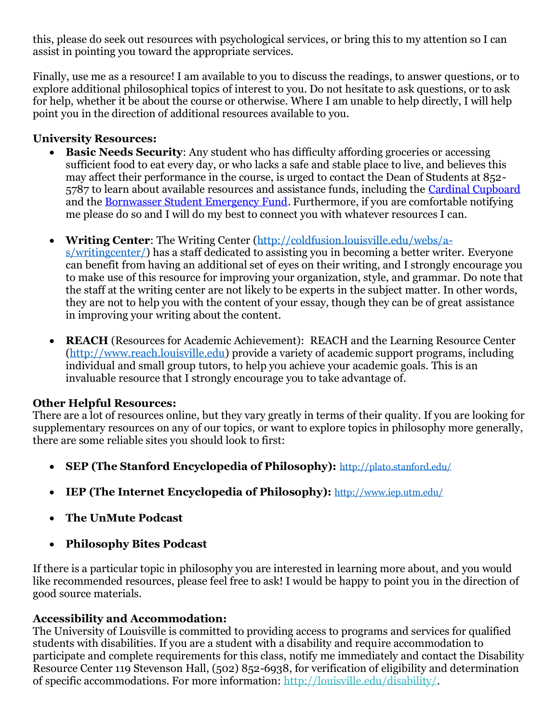this, please do seek out resources with psychological services, or bring this to my attention so I can assist in pointing you toward the appropriate services.

Finally, use me as a resource! I am available to you to discuss the readings, to answer questions, or to explore additional philosophical topics of interest to you. Do not hesitate to ask questions, or to ask for help, whether it be about the course or otherwise. Where I am unable to help directly, I will help point you in the direction of additional resources available to you.

## **University Resources:**

- **Basic Needs Security**: Any student who has difficulty affording groceries or accessing sufficient food to eat every day, or who lacks a safe and stable place to live, and believes this may affect their performance in the course, is urged to contact the Dean of Students at 852- 5787 to learn about available resources and assistance funds, including the [Cardinal Cupboard](https://www.facebook.com/CardinalCupboard/) and th[e Bornwasser Student Emergency Fund.](http://louisville.edu/dos/help/studentemergencyfund) Furthermore, if you are comfortable notifying me please do so and I will do my best to connect you with whatever resources I can.
- **Writing Center**: The Writing Center [\(http://coldfusion.louisville.edu/webs/a-](http://coldfusion.louisville.edu/webs/a-s/writingcenter/)

[s/writingcenter/\)](http://coldfusion.louisville.edu/webs/a-s/writingcenter/) has a staff dedicated to assisting you in becoming a better writer. Everyone can benefit from having an additional set of eyes on their writing, and I strongly encourage you to make use of this resource for improving your organization, style, and grammar. Do note that the staff at the writing center are not likely to be experts in the subject matter. In other words, they are not to help you with the content of your essay, though they can be of great assistance in improving your writing about the content.

**REACH** (Resources for Academic Achievement): REACH and the Learning Resource Center [\(http://www.reach.louisville.edu\)](http://www.reach.louisville.edu/) provide a variety of academic support programs, including individual and small group tutors, to help you achieve your academic goals. This is an invaluable resource that I strongly encourage you to take advantage of.

#### **Other Helpful Resources:**

There are a lot of resources online, but they vary greatly in terms of their quality. If you are looking for supplementary resources on any of our topics, or want to explore topics in philosophy more generally, there are some reliable sites you should look to first:

- **SEP (The Stanford Encyclopedia of Philosophy):** <http://plato.stanford.edu/>
- **IEP (The Internet Encyclopedia of Philosophy):** <http://www.iep.utm.edu/>
- **The UnMute Podcast**
- **Philosophy Bites Podcast**

If there is a particular topic in philosophy you are interested in learning more about, and you would like recommended resources, please feel free to ask! I would be happy to point you in the direction of good source materials.

#### **Accessibility and Accommodation:**

The University of Louisville is committed to providing access to programs and services for qualified students with disabilities. If you are a student with a disability and require accommodation to participate and complete requirements for this class, notify me immediately and contact the Disability Resource Center 119 Stevenson Hall, (502) 852-6938, for verification of eligibility and determination of specific accommodations. For more information: [http://louisville.edu/disability/.](http://louisville.edu/disability/)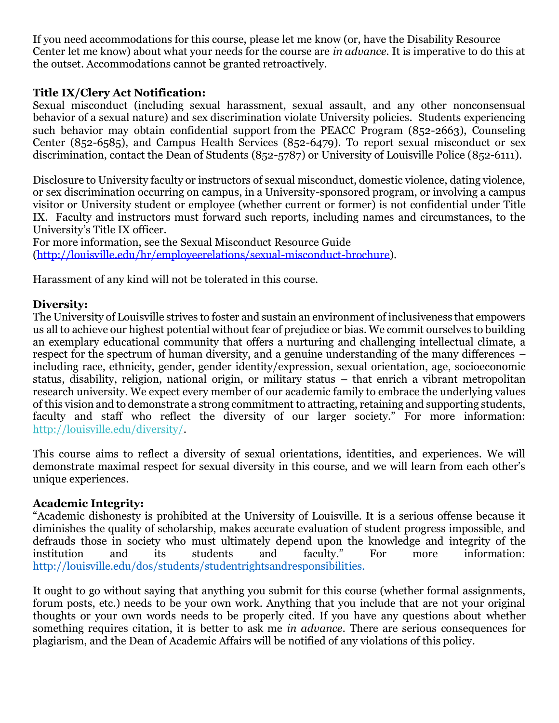If you need accommodations for this course, please let me know (or, have the Disability Resource Center let me know) about what your needs for the course are *in advance.* It is imperative to do this at the outset. Accommodations cannot be granted retroactively.

#### **Title IX/Clery Act Notification:**

Sexual misconduct (including sexual harassment, sexual assault, and any other nonconsensual behavior of a sexual nature) and sex discrimination violate University policies. Students experiencing such behavior may obtain confidential support from the PEACC Program (852-2663), Counseling Center (852-6585), and Campus Health Services (852-6479). To report sexual misconduct or sex discrimination, contact the Dean of Students (852-5787) or University of Louisville Police (852-6111).

Disclosure to University faculty or instructors of sexual misconduct, domestic violence, dating violence, or sex discrimination occurring on campus, in a University-sponsored program, or involving a campus visitor or University student or employee (whether current or former) is not confidential under Title IX. Faculty and instructors must forward such reports, including names and circumstances, to the University's Title IX officer.

For more information, see the Sexual Misconduct Resource Guide [\(http://louisville.edu/hr/employeerelations/sexual-misconduct-brochure\)](http://louisville.edu/hr/employeerelations/sexual-misconduct-brochure).

Harassment of any kind will not be tolerated in this course.

#### **Diversity:**

The University of Louisville strives to foster and sustain an environment of inclusiveness that empowers us all to achieve our highest potential without fear of prejudice or bias. We commit ourselves to building an exemplary educational community that offers a nurturing and challenging intellectual climate, a respect for the spectrum of human diversity, and a genuine understanding of the many differences – including race, ethnicity, gender, gender identity/expression, sexual orientation, age, socioeconomic status, disability, religion, national origin, or military status – that enrich a vibrant metropolitan research university. We expect every member of our academic family to embrace the underlying values of this vision and to demonstrate a strong commitment to attracting, retaining and supporting students, faculty and staff who reflect the diversity of our larger society." For more information: [http://louisville.edu/diversity/.](http://louisville.edu/diversity/)

This course aims to reflect a diversity of sexual orientations, identities, and experiences. We will demonstrate maximal respect for sexual diversity in this course, and we will learn from each other's unique experiences.

#### **Academic Integrity:**

"Academic dishonesty is prohibited at the University of Louisville. It is a serious offense because it diminishes the quality of scholarship, makes accurate evaluation of student progress impossible, and defrauds those in society who must ultimately depend upon the knowledge and integrity of the institution and its students and faculty." For more information: [http://louisville.edu/dos/students/studentrightsandresponsibilities.](http://louisville.edu/dos/students/studentrightsandresponsibilities)

It ought to go without saying that anything you submit for this course (whether formal assignments, forum posts, etc.) needs to be your own work. Anything that you include that are not your original thoughts or your own words needs to be properly cited. If you have any questions about whether something requires citation, it is better to ask me *in advance.* There are serious consequences for plagiarism, and the Dean of Academic Affairs will be notified of any violations of this policy.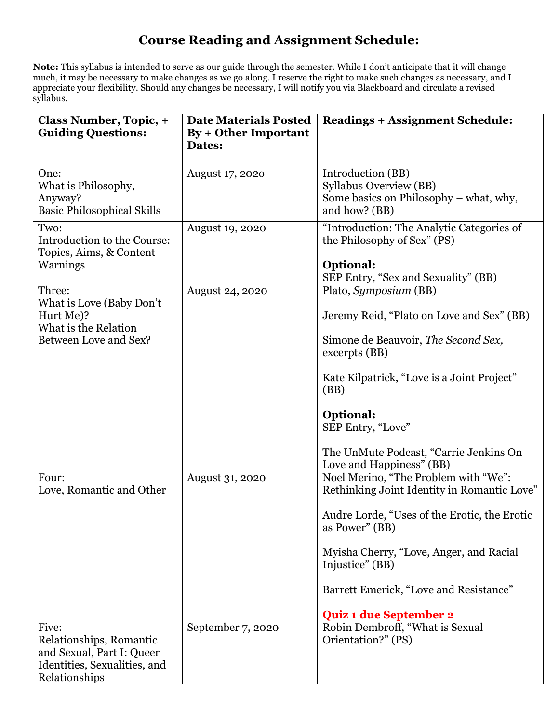# **Course Reading and Assignment Schedule:**

**Note:** This syllabus is intended to serve as our guide through the semester. While I don't anticipate that it will change much, it may be necessary to make changes as we go along. I reserve the right to make such changes as necessary, and I appreciate your flexibility. Should any changes be necessary, I will notify you via Blackboard and circulate a revised syllabus.

| <b>Class Number, Topic, +</b><br><b>Guiding Questions:</b>                                                     | <b>Date Materials Posted</b><br>By + Other Important<br>Dates: | <b>Readings + Assignment Schedule:</b>                                                                                                                                                                                                                                                          |
|----------------------------------------------------------------------------------------------------------------|----------------------------------------------------------------|-------------------------------------------------------------------------------------------------------------------------------------------------------------------------------------------------------------------------------------------------------------------------------------------------|
| One:<br>What is Philosophy,<br>Anyway?<br><b>Basic Philosophical Skills</b>                                    | August 17, 2020                                                | Introduction (BB)<br><b>Syllabus Overview (BB)</b><br>Some basics on Philosophy – what, why,<br>and how? (BB)                                                                                                                                                                                   |
| Two:<br>Introduction to the Course:<br>Topics, Aims, & Content<br>Warnings                                     | <b>August 19, 2020</b>                                         | "Introduction: The Analytic Categories of<br>the Philosophy of Sex" (PS)<br>Optional:<br>SEP Entry, "Sex and Sexuality" (BB)                                                                                                                                                                    |
| Three:<br>What is Love (Baby Don't<br>Hurt Me)?<br>What is the Relation<br>Between Love and Sex?               | <b>August 24, 2020</b>                                         | Plato, Symposium (BB)<br>Jeremy Reid, "Plato on Love and Sex" (BB)<br>Simone de Beauvoir, The Second Sex,<br>excerpts (BB)<br>Kate Kilpatrick, "Love is a Joint Project"<br>(BB)<br><b>Optional:</b><br>SEP Entry, "Love"<br>The UnMute Podcast, "Carrie Jenkins On<br>Love and Happiness" (BB) |
| Four:<br>Love, Romantic and Other                                                                              | August 31, 2020                                                | Noel Merino, "The Problem with "We":<br>Rethinking Joint Identity in Romantic Love"<br>Audre Lorde, "Uses of the Erotic, the Erotic<br>as Power" (BB)<br>Myisha Cherry, "Love, Anger, and Racial<br>Injustice" (BB)<br>Barrett Emerick, "Love and Resistance"<br><b>Quiz 1 due September 2</b>  |
| Five:<br>Relationships, Romantic<br>and Sexual, Part I: Queer<br>Identities, Sexualities, and<br>Relationships | September 7, 2020                                              | Robin Dembroff, "What is Sexual<br>Orientation?" (PS)                                                                                                                                                                                                                                           |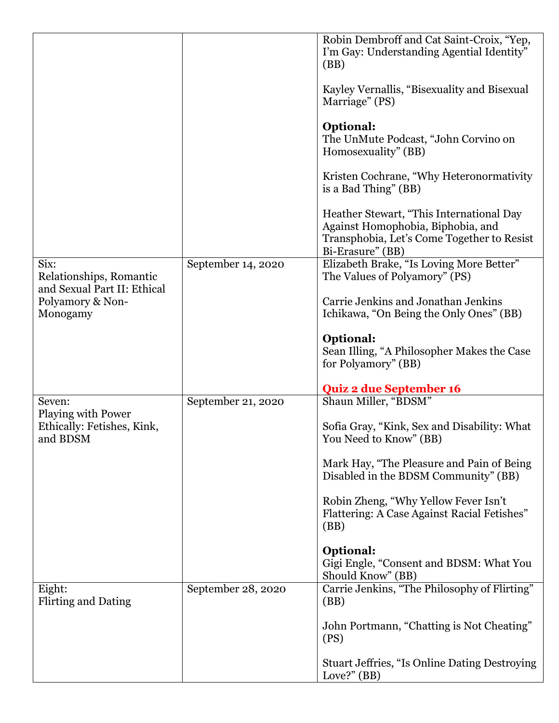|                                                              |                    | Robin Dembroff and Cat Saint-Croix, "Yep,<br>I'm Gay: Understanding Agential Identity"<br>(BB)                                                  |
|--------------------------------------------------------------|--------------------|-------------------------------------------------------------------------------------------------------------------------------------------------|
|                                                              |                    | Kayley Vernallis, "Bisexuality and Bisexual<br>Marriage" (PS)                                                                                   |
|                                                              |                    | <b>Optional:</b><br>The UnMute Podcast, "John Corvino on<br>Homosexuality" (BB)                                                                 |
|                                                              |                    | Kristen Cochrane, "Why Heteronormativity"<br>is a Bad Thing" (BB)                                                                               |
|                                                              |                    | Heather Stewart, "This International Day<br>Against Homophobia, Biphobia, and<br>Transphobia, Let's Come Together to Resist<br>Bi-Erasure" (BB) |
| Six:<br>Relationships, Romantic                              | September 14, 2020 | Elizabeth Brake, "Is Loving More Better"<br>The Values of Polyamory" (PS)                                                                       |
| and Sexual Part II: Ethical<br>Polyamory & Non-<br>Monogamy  |                    | Carrie Jenkins and Jonathan Jenkins<br>Ichikawa, "On Being the Only Ones" (BB)                                                                  |
|                                                              |                    | <b>Optional:</b><br>Sean Illing, "A Philosopher Makes the Case<br>for Polyamory" (BB)                                                           |
|                                                              |                    | <b>Quiz 2 due September 16</b>                                                                                                                  |
| Seven:                                                       | September 21, 2020 | Shaun Miller, "BDSM"                                                                                                                            |
| Playing with Power<br>Ethically: Fetishes, Kink,<br>and BDSM |                    | Sofia Gray, "Kink, Sex and Disability: What<br>You Need to Know" (BB)                                                                           |
|                                                              |                    | Mark Hay, "The Pleasure and Pain of Being<br>Disabled in the BDSM Community" (BB)                                                               |
|                                                              |                    | Robin Zheng, "Why Yellow Fever Isn't<br>Flattering: A Case Against Racial Fetishes"<br>(BB)                                                     |
|                                                              |                    | <b>Optional:</b><br>Gigi Engle, "Consent and BDSM: What You<br>Should Know" (BB)                                                                |
| Eight:<br><b>Flirting and Dating</b>                         | September 28, 2020 | Carrie Jenkins, "The Philosophy of Flirting"<br>(BB)                                                                                            |
|                                                              |                    | John Portmann, "Chatting is Not Cheating"<br>(PS)                                                                                               |
|                                                              |                    | <b>Stuart Jeffries, "Is Online Dating Destroying</b><br>Love?" $(BB)$                                                                           |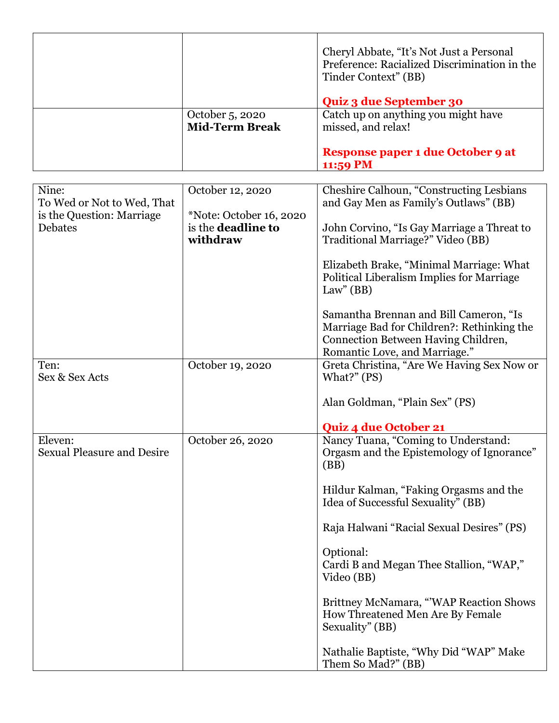|                       | Cheryl Abbate, "It's Not Just a Personal<br>Preference: Racialized Discrimination in the<br>Tinder Context" (BB) |
|-----------------------|------------------------------------------------------------------------------------------------------------------|
|                       | <b>Quiz 3 due September 30</b>                                                                                   |
| October 5, 2020       | Catch up on anything you might have                                                                              |
| <b>Mid-Term Break</b> | missed, and relax!                                                                                               |
|                       |                                                                                                                  |
|                       | Response paper 1 due October 9 at                                                                                |
|                       | 11:59 PM                                                                                                         |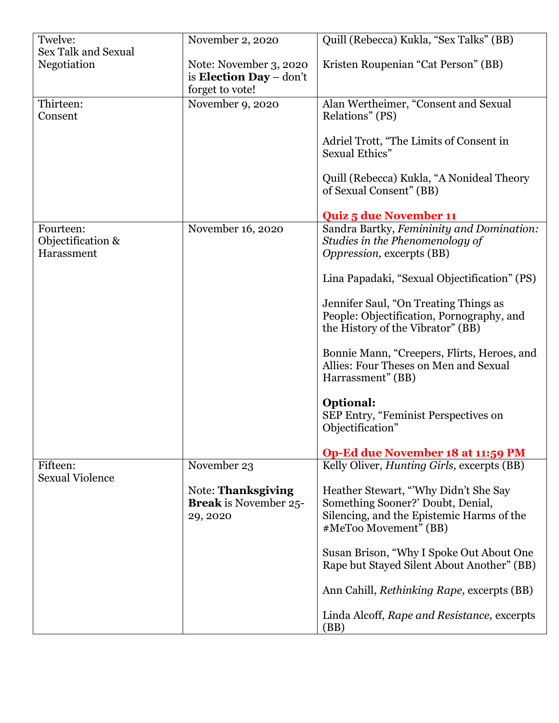| Twelve:                                      | November 2, 2020                                                            | Quill (Rebecca) Kukla, "Sex Talks" (BB)                                                                                                         |
|----------------------------------------------|-----------------------------------------------------------------------------|-------------------------------------------------------------------------------------------------------------------------------------------------|
| <b>Sex Talk and Sexual</b><br>Negotiation    | Note: November 3, 2020<br>is <b>Election Day</b> – don't<br>forget to vote! | Kristen Roupenian "Cat Person" (BB)                                                                                                             |
| Thirteen:<br>Consent                         | November 9, 2020                                                            | Alan Wertheimer, "Consent and Sexual<br>Relations" (PS)                                                                                         |
|                                              |                                                                             | Adriel Trott, "The Limits of Consent in<br>Sexual Ethics"                                                                                       |
|                                              |                                                                             | Quill (Rebecca) Kukla, "A Nonideal Theory<br>of Sexual Consent" (BB)                                                                            |
|                                              |                                                                             | <b>Quiz 5 due November 11</b>                                                                                                                   |
| Fourteen:<br>Objectification &<br>Harassment | November 16, 2020                                                           | Sandra Bartky, Femininity and Domination:<br>Studies in the Phenomenology of<br>Oppression, excerpts (BB)                                       |
|                                              |                                                                             | Lina Papadaki, "Sexual Objectification" (PS)                                                                                                    |
|                                              |                                                                             | Jennifer Saul, "On Treating Things as<br>People: Objectification, Pornography, and<br>the History of the Vibrator" (BB)                         |
|                                              |                                                                             | Bonnie Mann, "Creepers, Flirts, Heroes, and<br>Allies: Four Theses on Men and Sexual<br>Harrassment" (BB)                                       |
|                                              |                                                                             | <b>Optional:</b><br>SEP Entry, "Feminist Perspectives on<br>Objectification"                                                                    |
|                                              |                                                                             | Op-Ed due November 18 at 11:59 PM                                                                                                               |
| Fifteen:<br><b>Sexual Violence</b>           | November 23                                                                 | Kelly Oliver, <i>Hunting Girls</i> , excerpts (BB)                                                                                              |
|                                              | Note: Thanksgiving<br><b>Break</b> is November 25-<br>29, 2020              | Heather Stewart, "Why Didn't She Say<br>Something Sooner?' Doubt, Denial,<br>Silencing, and the Epistemic Harms of the<br>#MeToo Movement" (BB) |
|                                              |                                                                             | Susan Brison, "Why I Spoke Out About One<br>Rape but Stayed Silent About Another" (BB)                                                          |
|                                              |                                                                             | Ann Cahill, <i>Rethinking Rape</i> , excerpts (BB)                                                                                              |
|                                              |                                                                             | Linda Alcoff, Rape and Resistance, excerpts<br>(BB)                                                                                             |